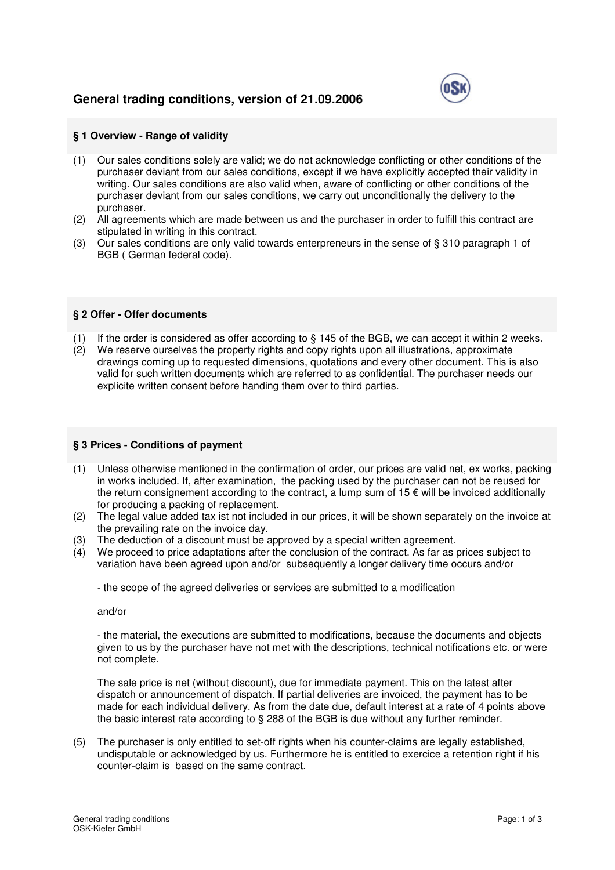# **General trading conditions, version of 21.09.2006**



## **§ 1 Overview - Range of validity**

- (1) Our sales conditions solely are valid; we do not acknowledge conflicting or other conditions of the purchaser deviant from our sales conditions, except if we have explicitly accepted their validity in writing. Our sales conditions are also valid when, aware of conflicting or other conditions of the purchaser deviant from our sales conditions, we carry out unconditionally the delivery to the purchaser.
- (2) All agreements which are made between us and the purchaser in order to fulfill this contract are stipulated in writing in this contract.
- (3) Our sales conditions are only valid towards enterpreneurs in the sense of § 310 paragraph 1 of BGB ( German federal code).

#### **§ 2 Offer - Offer documents**

- (1) If the order is considered as offer according to § 145 of the BGB, we can accept it within 2 weeks.
- (2) We reserve ourselves the property rights and copy rights upon all illustrations, approximate drawings coming up to requested dimensions, quotations and every other document. This is also valid for such written documents which are referred to as confidential. The purchaser needs our explicite written consent before handing them over to third parties.

## **§ 3 Prices - Conditions of payment**

- (1) Unless otherwise mentioned in the confirmation of order, our prices are valid net, ex works, packing in works included. If, after examination, the packing used by the purchaser can not be reused for the return consignement according to the contract, a lump sum of  $15 \in \text{will}$  be invoiced additionally for producing a packing of replacement.
- (2) The legal value added tax ist not included in our prices, it will be shown separately on the invoice at the prevailing rate on the invoice day.
- (3) The deduction of a discount must be approved by a special written agreement.
- (4) We proceed to price adaptations after the conclusion of the contract. As far as prices subject to variation have been agreed upon and/or subsequently a longer delivery time occurs and/or

- the scope of the agreed deliveries or services are submitted to a modification

and/or

- the material, the executions are submitted to modifications, because the documents and objects given to us by the purchaser have not met with the descriptions, technical notifications etc. or were not complete.

The sale price is net (without discount), due for immediate payment. This on the latest after dispatch or announcement of dispatch. If partial deliveries are invoiced, the payment has to be made for each individual delivery. As from the date due, default interest at a rate of 4 points above the basic interest rate according to § 288 of the BGB is due without any further reminder.

(5) The purchaser is only entitled to set-off rights when his counter-claims are legally established, undisputable or acknowledged by us. Furthermore he is entitled to exercice a retention right if his counter-claim is based on the same contract.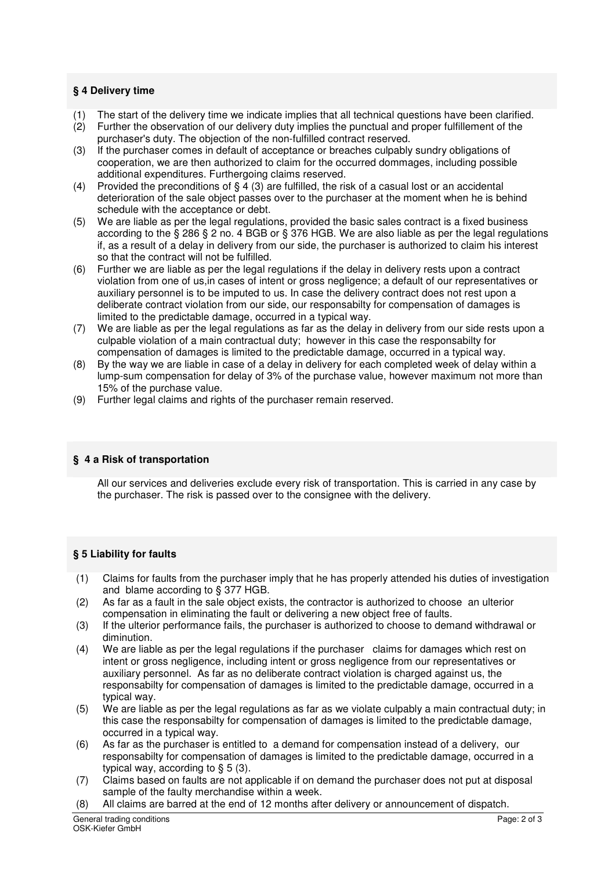## **§ 4 Delivery time**

- (1) The start of the delivery time we indicate implies that all technical questions have been clarified.<br>(2) Further the observation of our delivery duty implies the punctual and proper fulfillement of the
- Further the observation of our delivery duty implies the punctual and proper fulfillement of the purchaser's duty. The objection of the non-fulfilled contract reserved.
- (3) If the purchaser comes in default of acceptance or breaches culpably sundry obligations of cooperation, we are then authorized to claim for the occurred dommages, including possible additional expenditures. Furthergoing claims reserved.
- (4) Provided the preconditions of  $\S$  4 (3) are fulfilled, the risk of a casual lost or an accidental deterioration of the sale object passes over to the purchaser at the moment when he is behind schedule with the acceptance or debt.
- (5) We are liable as per the legal regulations, provided the basic sales contract is a fixed business according to the § 286 § 2 no. 4 BGB or § 376 HGB. We are also liable as per the legal regulations if, as a result of a delay in delivery from our side, the purchaser is authorized to claim his interest so that the contract will not be fulfilled.
- (6) Further we are liable as per the legal regulations if the delay in delivery rests upon a contract violation from one of us,in cases of intent or gross negligence; a default of our representatives or auxiliary personnel is to be imputed to us. In case the delivery contract does not rest upon a deliberate contract violation from our side, our responsabilty for compensation of damages is limited to the predictable damage, occurred in a typical way.
- (7) We are liable as per the legal regulations as far as the delay in delivery from our side rests upon a culpable violation of a main contractual duty; however in this case the responsabilty for compensation of damages is limited to the predictable damage, occurred in a typical way.
- (8) By the way we are liable in case of a delay in delivery for each completed week of delay within a lump-sum compensation for delay of 3% of the purchase value, however maximum not more than 15% of the purchase value.
- (9) Further legal claims and rights of the purchaser remain reserved.

# **§ 4 a Risk of transportation**

 All our services and deliveries exclude every risk of transportation. This is carried in any case by the purchaser. The risk is passed over to the consignee with the delivery.

# **§ 5 Liability for faults**

- (1) Claims for faults from the purchaser imply that he has properly attended his duties of investigation and blame according to § 377 HGB.
- (2) As far as a fault in the sale object exists, the contractor is authorized to choose an ulterior compensation in eliminating the fault or delivering a new object free of faults.
- (3) If the ulterior performance fails, the purchaser is authorized to choose to demand withdrawal or diminution.
- (4) We are liable as per the legal regulations if the purchaser claims for damages which rest on intent or gross negligence, including intent or gross negligence from our representatives or auxiliary personnel. As far as no deliberate contract violation is charged against us, the responsabilty for compensation of damages is limited to the predictable damage, occurred in a typical way.
- (5) We are liable as per the legal regulations as far as we violate culpably a main contractual duty; in this case the responsabilty for compensation of damages is limited to the predictable damage, occurred in a typical way.
- (6) As far as the purchaser is entitled to a demand for compensation instead of a delivery, our responsabilty for compensation of damages is limited to the predictable damage, occurred in a typical way, according to  $\S$  5 (3).
- (7) Claims based on faults are not applicable if on demand the purchaser does not put at disposal sample of the faulty merchandise within a week.
- (8) All claims are barred at the end of 12 months after delivery or announcement of dispatch.